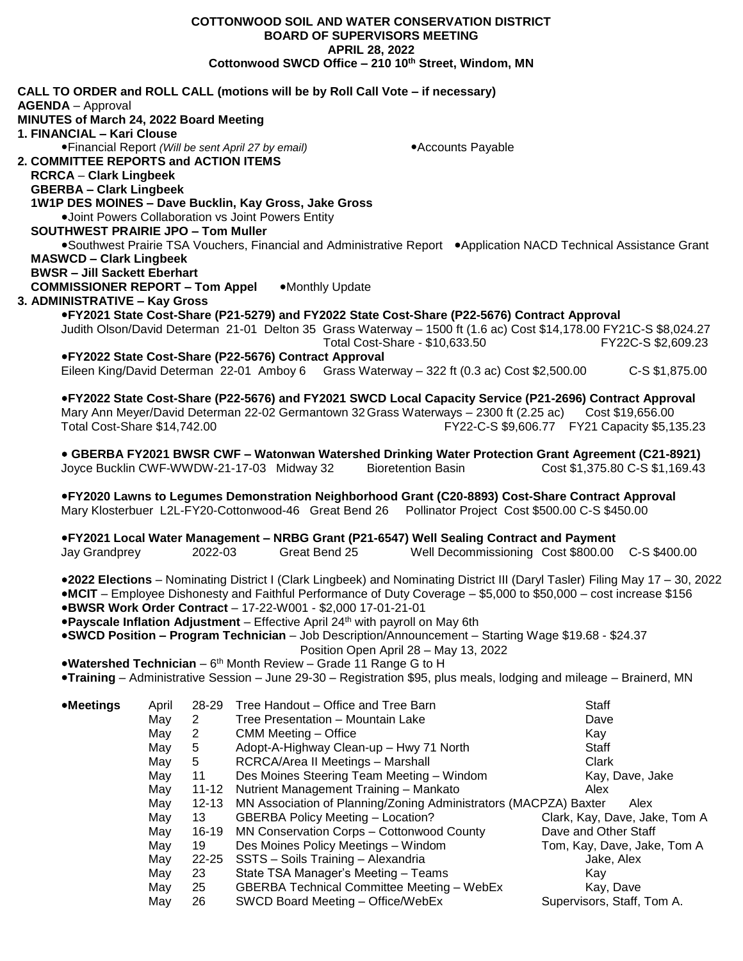**BOARD OF SUPERVISORS MEETING APRIL 28, 2022 Cottonwood SWCD Office – 210 10th Street, Windom, MN CALL TO ORDER and ROLL CALL (motions will be by Roll Call Vote – if necessary) AGENDA** – Approval **MINUTES of March 24, 2022 Board Meeting 1. FINANCIAL – Kari Clouse** • Financial Report *(Will be sent April 27 by email)* • **Accounts Payable 2. COMMITTEE REPORTS and ACTION ITEMS RCRCA** – **Clark Lingbeek GBERBA – Clark Lingbeek 1W1P DES MOINES – Dave Bucklin, Kay Gross, Jake Gross** Joint Powers Collaboration vs Joint Powers Entity  **SOUTHWEST PRAIRIE JPO – Tom Muller** ●Southwest Prairie TSA Vouchers, Financial and Administrative Report ●Application NACD Technical Assistance Grant **MASWCD – Clark Lingbeek BWSR – Jill Sackett Eberhart COMMISSIONER REPORT – Tom Appel . • Monthly Update 3. ADMINISTRATIVE – Kay Gross FY2021 State Cost-Share (P21-5279) and FY2022 State Cost-Share (P22-5676) Contract Approval** Judith Olson/David Determan 21-01 Delton 35 Grass Waterway – 1500 ft (1.6 ac) Cost \$14,178.00 FY21C-S \$8,024.27 Total Cost-Share - \$10,633.50 FY22C-S \$2,609.23 **FY2022 State Cost-Share (P22-5676) Contract Approval** Eileen King/David Determan 22-01 Amboy 6 Grass Waterway – 322 ft (0.3 ac) Cost \$2,500.00 C-S \$1,875.00 **FY2022 State Cost-Share (P22-5676) and FY2021 SWCD Local Capacity Service (P21-2696) Contract Approval** Mary Ann Meyer/David Determan 22-02 Germantown 32 Grass Waterways - 2300 ft (2.25 ac) Cost \$19,656.00 Total Cost-Share \$14,742.00 FY22-C-S \$9,606.77 FY21 Capacity \$5,135.23 **GBERBA FY2021 BWSR CWF – Watonwan Watershed Drinking Water Protection Grant Agreement (C21-8921)** Joyce Bucklin CWF-WWDW-21-17-03 Midway 32 Bioretention Basin **FY2020 Lawns to Legumes Demonstration Neighborhood Grant (C20-8893) Cost-Share Contract Approval** Mary Klosterbuer L2L-FY20-Cottonwood-46 Great Bend 26 Pollinator Project Cost \$500.00 C-S \$450.00 **FY2021 Local Water Management – NRBG Grant (P21-6547) Well Sealing Contract and Payment** Jay Grandprey 2022-03 Great Bend 25 Well Decommissioning Cost \$800.00 C-S \$400.00 **2022 Elections** – Nominating District I (Clark Lingbeek) and Nominating District III (Daryl Tasler) Filing May 17 – 30, 2022 **MCIT** – Employee Dishonesty and Faithful Performance of Duty Coverage – \$5,000 to \$50,000 – cost increase \$156 **BWSR Work Order Contract** – 17-22-W001 - \$2,000 17-01-21-01 **Payscale Inflation Adjustment** – Effective April 24th with payroll on May 6th **SWCD Position – Program Technician** – Job Description/Announcement – Starting Wage \$19.68 - \$24.37 Position Open April 28 – May 13, 2022 **Watershed Technician** – 6<sup>th</sup> Month Review – Grade 11 Range G to H **Training** – Administrative Session – June 29-30 – Registration \$95, plus meals, lodging and mileage – Brainerd, MN **Meetings** April 28-29 Tree Handout – Office and Tree Barn Staff May 2 Tree Presentation – Mountain Lake **Dave** Dave May 2 CMM Meeting – Office **Kay 19th CMM Meeting – Office** Kay May 5 Adopt-A-Highway Clean-up – Hwy 71 North Staff May 5 RCRCA/Area II Meetings – Marshall **Clark** Clark May 11 Des Moines Steering Team Meeting – Windom Kay, Dave, Jake May 11-12 Nutrient Management Training – Mankato **Alex** May 12-13 MN Association of Planning/Zoning Administrators (MACPZA) Baxter Alex May 13 GBERBA Policy Meeting – Location? Clark, Kay, Dave, Jake, Tom A May 16-19 MN Conservation Corps – Cottonwood County Dave and Other Staff May 19 Des Moines Policy Meetings – Windom Tom, Kay, Dave, Jake, Tom A May 22-25 SSTS – Soils Training – Alexandria Jake, Alexandria Jake, Alex May 23 State TSA Manager's Meeting – Teams Theory of the Kay May 25 GBERBA Technical Committee Meeting – WebEx Kay, Dave May 26 SWCD Board Meeting – Office/WebEx Supervisors, Staff, Tom A.

**COTTONWOOD SOIL AND WATER CONSERVATION DISTRICT**